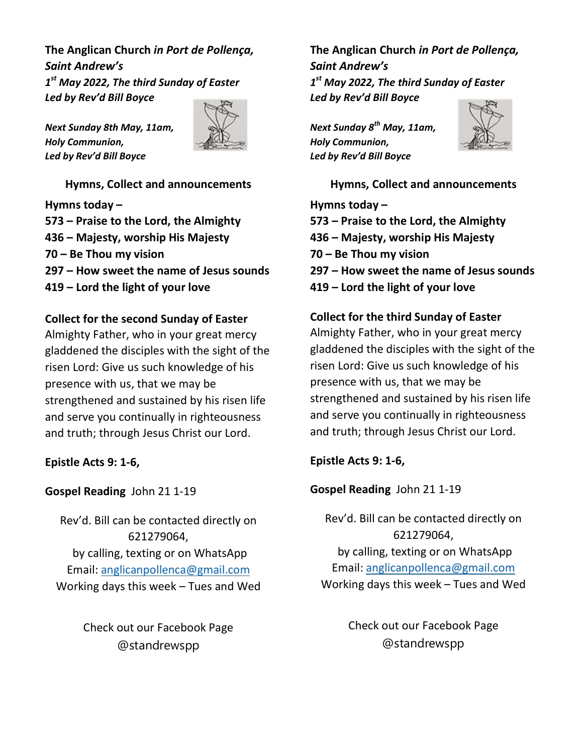The Anglican Church in Port de Pollença, Saint Andrew's  $1^{\rm st}$  May 2022, The third Sunday of Easter Led by Rev'd Bill Boyce

Next Sunday 8th May, 11am, Holy Communion, Led by Rev'd Bill Boyce



Hymns, Collect and announcements Hymns today –

573 – Praise to the Lord, the Almighty 436 – Majesty, worship His Majesty 70 – Be Thou my vision 297 – How sweet the name of Jesus sounds 419 – Lord the light of your love

# Collect for the second Sunday of Easter

Almighty Father, who in your great mercy gladdened the disciples with the sight of the risen Lord: Give us such knowledge of his presence with us, that we may be strengthened and sustained by his risen life and serve you continually in righteousness and truth; through Jesus Christ our Lord.

Epistle Acts 9: 1-6,

## Gospel Reading John 21 1-19

Rev'd. Bill can be contacted directly on 621279064, by calling, texting or on WhatsApp Email: anglicanpollenca@gmail.com Working days this week – Tues and Wed

> Check out our Facebook Page @standrewspp

The Anglican Church in Port de Pollença, Saint Andrew's 1<sup>st</sup> May 2022, The third Sunday of Easter Led by Rev'd Bill Boyce

Next Sunday 8<sup>th</sup> May, 11am, Holy Communion, Led by Rev'd Bill Boyce



Hymns, Collect and announcements Hymns today – 573 – Praise to the Lord, the Almighty 436 – Majesty, worship His Majesty 70 – Be Thou my vision 297 – How sweet the name of Jesus sounds 419 – Lord the light of your love

Collect for the third Sunday of Easter Almighty Father, who in your great mercy gladdened the disciples with the sight of the risen Lord: Give us such knowledge of his presence with us, that we may be strengthened and sustained by his risen life and serve you continually in righteousness and truth; through Jesus Christ our Lord.

Epistle Acts 9: 1-6,

Gospel Reading John 21 1-19

Rev'd. Bill can be contacted directly on 621279064, by calling, texting or on WhatsApp Email: anglicanpollenca@gmail.com Working days this week – Tues and Wed

> Check out our Facebook Page @standrewspp